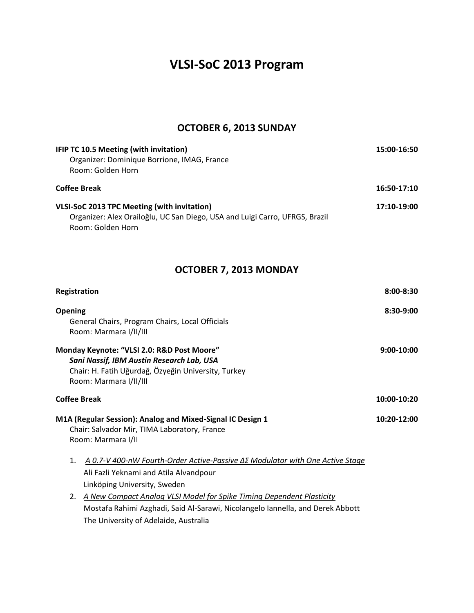# **VLSI-SoC 2013 Program**

## **OCTOBER 6, 2013 SUNDAY**

| IFIP TC 10.5 Meeting (with invitation)                                      | 15:00-16:50 |
|-----------------------------------------------------------------------------|-------------|
| Organizer: Dominique Borrione, IMAG, France<br>Room: Golden Horn            |             |
|                                                                             |             |
| <b>Coffee Break</b>                                                         | 16:50-17:10 |
| VLSI-SoC 2013 TPC Meeting (with invitation)                                 | 17:10-19:00 |
| Organizer: Alex Orailoğlu, UC San Diego, USA and Luigi Carro, UFRGS, Brazil |             |
| Room: Golden Horn                                                           |             |

# **OCTOBER 7, 2013 MONDAY**

| Registration        |                                                                                                                                                                                                  | $8:00 - 8:30$ |
|---------------------|--------------------------------------------------------------------------------------------------------------------------------------------------------------------------------------------------|---------------|
| <b>Opening</b>      | General Chairs, Program Chairs, Local Officials<br>Room: Marmara I/II/III                                                                                                                        | $8:30-9:00$   |
|                     | Monday Keynote: "VLSI 2.0: R&D Post Moore"<br>Sani Nassif, IBM Austin Research Lab, USA<br>Chair: H. Fatih Uğurdağ, Özyeğin University, Turkey<br>Room: Marmara I/II/III                         | 9:00-10:00    |
| <b>Coffee Break</b> |                                                                                                                                                                                                  | 10:00-10:20   |
|                     | M1A (Regular Session): Analog and Mixed-Signal IC Design 1<br>Chair: Salvador Mir, TIMA Laboratory, France<br>Room: Marmara I/II                                                                 | 10:20-12:00   |
| $\mathbf{1}$ .      | <u>A 0.7-V 400-nW Fourth-Order Active-Passive ΔΣ Modulator with One Active Stage</u><br>Ali Fazli Yeknami and Atila Alvandpour<br>Linköping University, Sweden                                   |               |
| 2.                  | A New Compact Analog VLSI Model for Spike Timing Dependent Plasticity<br>Mostafa Rahimi Azghadi, Said Al-Sarawi, Nicolangelo Iannella, and Derek Abbott<br>The University of Adelaide, Australia |               |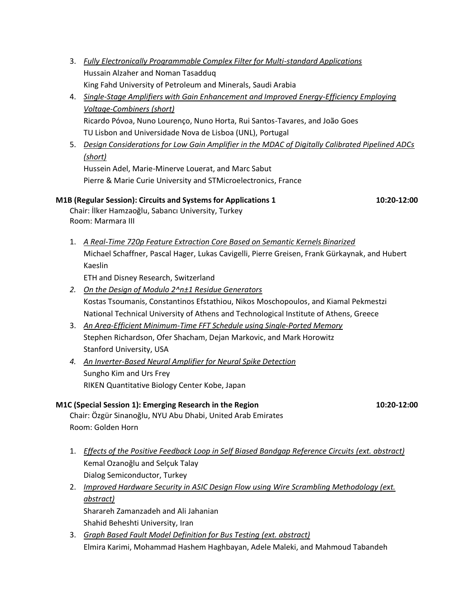- 3. *Fully Electronically Programmable Complex Filter for Multi-standard Applications* Hussain Alzaher and Noman Tasadduq King Fahd University of Petroleum and Minerals, Saudi Arabia
- 4. *Single-Stage Amplifiers with Gain Enhancement and Improved Energy-Efficiency Employing Voltage-Combiners (short)* Ricardo Póvoa, Nuno Lourenço, Nuno Horta, Rui Santos-Tavares, and João Goes TU Lisbon and Universidade Nova de Lisboa (UNL), Portugal
- 5. *Design Considerations for Low Gain Amplifier in the MDAC of Digitally Calibrated Pipelined ADCs (short)*

Hussein Adel, Marie-Minerve Louerat, and Marc Sabut Pierre & Marie Curie University and STMicroelectronics, France

#### **M1B (Regular Session): Circuits and Systems for Applications 1 10:20-12:00**

Chair: İlker Hamzaoğlu, Sabancı University, Turkey Room: Marmara III

1. *A Real-Time 720p Feature Extraction Core Based on Semantic Kernels Binarized* Michael Schaffner, Pascal Hager, Lukas Cavigelli, Pierre Greisen, Frank Gürkaynak, and Hubert Kaeslin ETH and Disney Research, Switzerland

- *2. On the Design of Modulo 2^n±1 Residue Generators* Kostas Tsoumanis, Constantinos Efstathiou, Nikos Moschopoulos, and Kiamal Pekmestzi National Technical University of Athens and Technological Institute of Athens, Greece
- 3. *An Area-Efficient Minimum-Time FFT Schedule using Single-Ported Memory* Stephen Richardson, Ofer Shacham, Dejan Markovic, and Mark Horowitz Stanford University, USA
- *4. An Inverter-Based Neural Amplifier for Neural Spike Detection* Sungho Kim and Urs Frey RIKEN Quantitative Biology Center Kobe, Japan

#### **M1C (Special Session 1): Emerging Research in the Region 10:20-12:00**

Chair: Özgür Sinanoğlu, NYU Abu Dhabi, United Arab Emirates Room: Golden Horn

- 1. *Effects of the Positive Feedback Loop in Self Biased Bandgap Reference Circuits (ext. abstract)* Kemal Ozanoğlu and Selçuk Talay Dialog Semiconductor, Turkey
- 2. *Improved Hardware Security in ASIC Design Flow using Wire Scrambling Methodology (ext. abstract)* Sharareh Zamanzadeh and Ali Jahanian Shahid Beheshti University, Iran
- 3. *Graph Based Fault Model Definition for Bus Testing (ext. abstract)* Elmira Karimi, Mohammad Hashem Haghbayan, Adele Maleki, and Mahmoud Tabandeh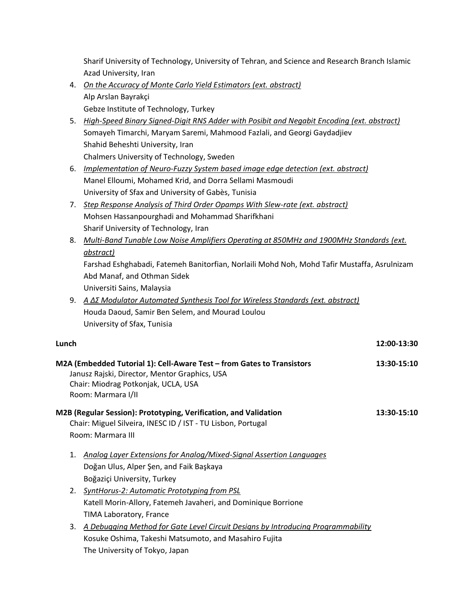Sharif University of Technology, University of Tehran, and Science and Research Branch Islamic Azad University, Iran

- 4. *On the Accuracy of Monte Carlo Yield Estimators (ext. abstract)* Alp Arslan Bayrakçi Gebze Institute of Technology, Turkey
- 5. *High-Speed Binary Signed-Digit RNS Adder with Posibit and Negabit Encoding (ext. abstract)* Somayeh Timarchi, Maryam Saremi, Mahmood Fazlali, and Georgi Gaydadjiev Shahid Beheshti University, Iran Chalmers University of Technology, Sweden
- 6. *Implementation of Neuro-Fuzzy System based image edge detection (ext. abstract)* Manel Elloumi, Mohamed Krid, and Dorra Sellami Masmoudi University of Sfax and University of Gabès, Tunisia
- 7. *Step Response Analysis of Third Order Opamps With Slew-rate (ext. abstract)* Mohsen Hassanpourghadi and Mohammad Sharifkhani Sharif University of Technology, Iran
- 8. *Multi-Band Tunable Low Noise Amplifiers Operating at 850MHz and 1900MHz Standards (ext. abstract)*

Farshad Eshghabadi, Fatemeh Banitorfian, Norlaili Mohd Noh, Mohd Tafir Mustaffa, Asrulnizam Abd Manaf, and Othman Sidek

Universiti Sains, Malaysia

9. *A ΔΣ Modulator Auto ated S nthesis Tool for ireless Standards (ext. abstract)* Houda Daoud, Samir Ben Selem, and Mourad Loulou University of Sfax, Tunisia

#### **Lunch 12:00-13:30**

| M2A (Embedded Tutorial 1): Cell-Aware Test - from Gates to Transistors<br>Janusz Rajski, Director, Mentor Graphics, USA<br>Chair: Miodrag Potkonjak, UCLA, USA<br>Room: Marmara I/II | 13:30-15:10 |
|--------------------------------------------------------------------------------------------------------------------------------------------------------------------------------------|-------------|
| M2B (Regular Session): Prototyping, Verification, and Validation<br>Chair: Miguel Silveira, INESC ID / IST - TU Lisbon, Portugal                                                     | 13:30-15:10 |
| Room: Marmara III                                                                                                                                                                    |             |
| Analog Layer Extensions for Analog/Mixed-Signal Assertion Languages<br>1.                                                                                                            |             |
| Doğan Ulus, Alper Şen, and Faik Başkaya                                                                                                                                              |             |
| Boğaziçi University, Turkey                                                                                                                                                          |             |
| 2. SyntHorus-2: Automatic Prototyping from PSL                                                                                                                                       |             |
| Katell Morin-Allory, Fatemeh Javaheri, and Dominique Borrione                                                                                                                        |             |
| TIMA Laboratory, France                                                                                                                                                              |             |
| A Debugging Method for Gate Level Circuit Designs by Introducing Programmability<br>3.                                                                                               |             |

Kosuke Oshima, Takeshi Matsumoto, and Masahiro Fujita The University of Tokyo, Japan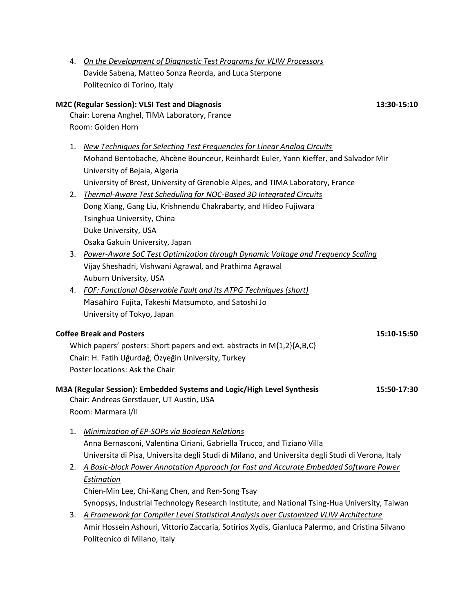4. *On the Development of Diagnostic Test Programs for VLIW Processors* Davide Sabena, Matteo Sonza Reorda, and Luca Sterpone Politecnico di Torino, Italy **M2C (Regular Session): VLSI Test and Diagnosis 13:30-15:10** Chair: Lorena Anghel, TIMA Laboratory, France Room: Golden Horn 1. *New Techniques for Selecting Test Frequencies for Linear Analog Circuits* Mohand Bentobache, Ahcène Bounceur, Reinhardt Euler, Yann Kieffer, and Salvador Mir University of Bejaia, Algeria University of Brest, University of Grenoble Alpes, and TIMA Laboratory, France 2. *Thermal-Aware Test Scheduling for NOC-Based 3D Integrated Circuits* Dong Xiang, Gang Liu, Krishnendu Chakrabarty, and Hideo Fujiwara Tsinghua University, China Duke University, USA Osaka Gakuin University, Japan 3. *Power-Aware SoC Test Optimization through Dynamic Voltage and Frequency Scaling* Vijay Sheshadri, Vishwani Agrawal, and Prathima Agrawal Auburn University, USA 4. *FOF: Functional Observable Fault and its ATPG Techniques (short)* Masahiro Fujita, Takeshi Matsumoto, and Satoshi Jo University of Tokyo, Japan **Coffee Break and Posters 15:10-15:50** Which papers' posters: Short papers and ext. abstracts in M{1,2}{A,B,C} Chair: H. Fatih Uğurdağ, Özyeğin University, Turkey Poster locations: Ask the Chair

#### **M3A (Regular Session): Embedded Systems and Logic/High Level Synthesis 15:50-17:30** Chair: Andreas Gerstlauer, UT Austin, USA

Room: Marmara I/II

- 1. *Minimization of EP-SOPs via Boolean Relations* Anna Bernasconi, Valentina Ciriani, Gabriella Trucco, and Tiziano Villa Universita di Pisa, Universita degli Studi di Milano, and Universita degli Studi di Verona, Italy
- 2. *A Basic-block Power Annotation Approach for Fast and Accurate Embedded Software Power Estimation* Chien-Min Lee, Chi-Kang Chen, and Ren-Song Tsay Synopsys, Industrial Technology Research Institute, and National Tsing-Hua University, Taiwan 3. *A Framework for Compiler Level Statistical Analysis over Customized VLIW Architecture*
- Amir Hossein Ashouri, Vittorio Zaccaria, Sotirios Xydis, Gianluca Palermo, and Cristina Silvano Politecnico di Milano, Italy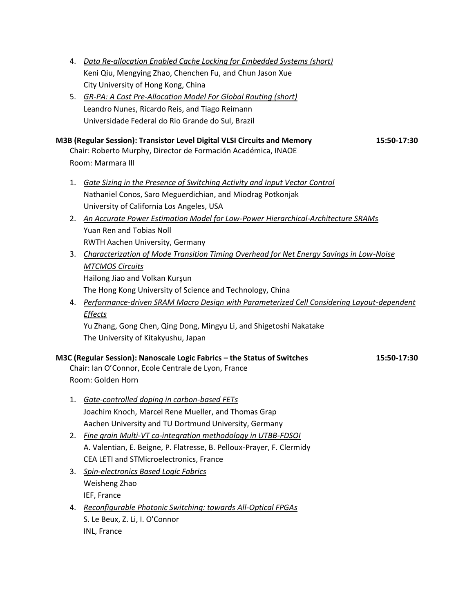- 4. *Data Re-allocation Enabled Cache Locking for Embedded Systems (short)* Keni Qiu, Mengying Zhao, Chenchen Fu, and Chun Jason Xue City University of Hong Kong, China
- 5. *GR-PA: A Cost Pre-Allocation Model For Global Routing (short)* Leandro Nunes, Ricardo Reis, and Tiago Reimann Universidade Federal do Rio Grande do Sul, Brazil

#### **M3B (Regular Session): Transistor Level Digital VLSI Circuits and Memory 15:50-17:30**

Chair: Roberto Murphy, Director de Formación Académica, INAOE Room: Marmara III

- 1. *Gate Sizing in the Presence of Switching Activity and Input Vector Control* Nathaniel Conos, Saro Meguerdichian, and Miodrag Potkonjak University of California Los Angeles, USA
- 2. *An Accurate Power Estimation Model for Low-Power Hierarchical-Architecture SRAMs* Yuan Ren and Tobias Noll RWTH Aachen University, Germany
- 3. *Characterization of Mode Transition Timing Overhead for Net Energy Savings in Low-Noise MTCMOS Circuits* Hailong Jiao and Volkan Kurşun The Hong Kong University of Science and Technology, China
- 4. *Performance-driven SRAM Macro Design with Parameterized Cell Considering Layout-dependent Effects*

Yu Zhang, Gong Chen, Qing Dong, Mingyu Li, and Shigetoshi Nakatake The University of Kitakyushu, Japan

#### **M3C (Regular Session): Nanoscale Logic Fabrics – the Status of Switches 15:50-17:30**

Chair: Ian O'Connor, Ecole Centrale de Lyon, France Room: Golden Horn

- 1. *Gate-controlled doping in carbon-based FETs* Joachim Knoch, Marcel Rene Mueller, and Thomas Grap Aachen University and TU Dortmund University, Germany
- 2. *Fine grain Multi-VT co-integration methodology in UTBB-FDSOI* A. Valentian, E. Beigne, P. Flatresse, B. Pelloux-Prayer, F. Clermidy CEA LETI and STMicroelectronics, France
- 3. *Spin-electronics Based Logic Fabrics* Weisheng Zhao IEF, France
- 4. *Reconfigurable Photonic Switching: towards All-Optical FPGAs* S. Le Beux, Z. Li, I. O'Connor INL, France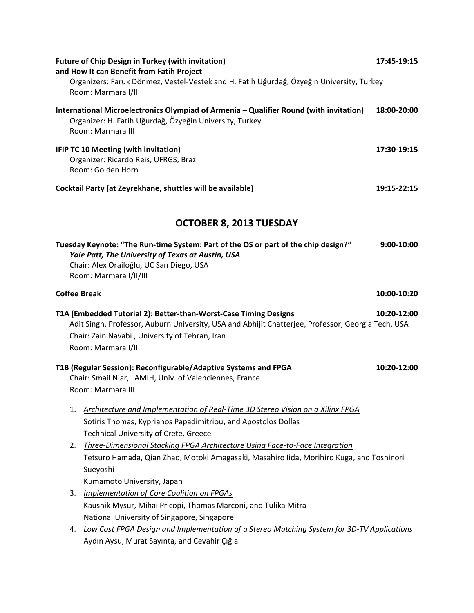| <b>Future of Chip Design in Turkey (with invitation)</b><br>and How It can Benefit from Fatih Project                                                                                                                                          | 17:45-19:15  |
|------------------------------------------------------------------------------------------------------------------------------------------------------------------------------------------------------------------------------------------------|--------------|
| Organizers: Faruk Dönmez, Vestel-Vestek and H. Fatih Uğurdağ, Özyeğin University, Turkey<br>Room: Marmara I/II                                                                                                                                 |              |
| International Microelectronics Olympiad of Armenia - Qualifier Round (with invitation)<br>Organizer: H. Fatih Uğurdağ, Özyeğin University, Turkey<br>Room: Marmara III                                                                         | 18:00-20:00  |
| <b>IFIP TC 10 Meeting (with invitation)</b><br>Organizer: Ricardo Reis, UFRGS, Brazil<br>Room: Golden Horn                                                                                                                                     | 17:30-19:15  |
| Cocktail Party (at Zeyrekhane, shuttles will be available)                                                                                                                                                                                     | 19:15-22:15  |
| <b>OCTOBER 8, 2013 TUESDAY</b>                                                                                                                                                                                                                 |              |
| Tuesday Keynote: "The Run-time System: Part of the OS or part of the chip design?"<br>Yale Patt, The University of Texas at Austin, USA<br>Chair: Alex Orailoğlu, UC San Diego, USA<br>Room: Marmara I/II/III                                  | $9:00-10:00$ |
| <b>Coffee Break</b>                                                                                                                                                                                                                            | 10:00-10:20  |
| T1A (Embedded Tutorial 2): Better-than-Worst-Case Timing Designs<br>Adit Singh, Professor, Auburn University, USA and Abhijit Chatterjee, Professor, Georgia Tech, USA<br>Chair: Zain Navabi, University of Tehran, Iran<br>Room: Marmara I/II | 10:20-12:00  |
| T1B (Regular Session): Reconfigurable/Adaptive Systems and FPGA<br>Chair: Smail Niar, LAMIH, Univ. of Valenciennes, France<br>Room: Marmara III                                                                                                | 10:20-12:00  |
| Architecture and Implementation of Real-Time 3D Stereo Vision on a Xilinx FPGA<br>1.<br>Sotiris Thomas, Kyprianos Papadimitriou, and Apostolos Dollas<br><b>Technical University of Crete, Greece</b>                                          |              |
| Three-Dimensional Stacking FPGA Architecture Using Face-to-Face Integration<br>2.<br>Tetsuro Hamada, Qian Zhao, Motoki Amagasaki, Masahiro Iida, Morihiro Kuga, and Toshinori<br>Sueyoshi                                                      |              |
| Kumamoto University, Japan                                                                                                                                                                                                                     |              |
| <b>Implementation of Core Coalition on FPGAs</b><br>3.                                                                                                                                                                                         |              |
| Kaushik Mysur, Mihai Pricopi, Thomas Marconi, and Tulika Mitra                                                                                                                                                                                 |              |
| National University of Singapore, Singapore                                                                                                                                                                                                    |              |
| Low Cost FPGA Design and Implementation of a Stereo Matching System for 3D-TV Applications<br>4.                                                                                                                                               |              |
| Aydın Aysu, Murat Sayınta, and Cevahir Çığla                                                                                                                                                                                                   |              |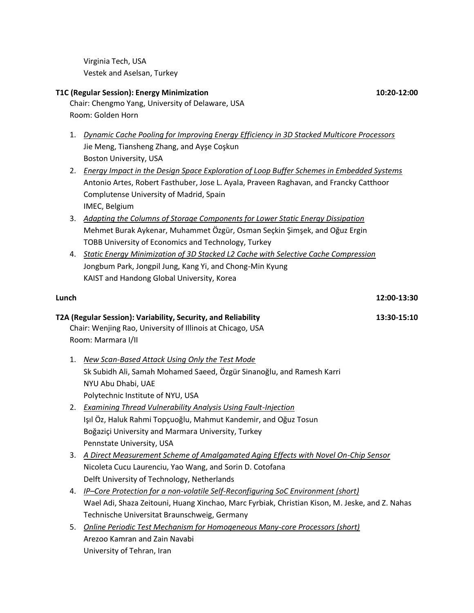Virginia Tech, USA Vestek and Aselsan, Turkey

University of Tehran, Iran

Chair: Chengmo Yang, University of Delaware, USA

|       | Room: Golden Horn                                                                               |
|-------|-------------------------------------------------------------------------------------------------|
| 1.    | Dynamic Cache Pooling for Improving Energy Efficiency in 3D Stacked Multicore Processors        |
|       | Jie Meng, Tiansheng Zhang, and Ayşe Coşkun                                                      |
|       | Boston University, USA                                                                          |
| 2.    | <b>Energy Impact in the Design Space Exploration of Loop Buffer Schemes in Embedded Systems</b> |
|       | Antonio Artes, Robert Fasthuber, Jose L. Ayala, Praveen Raghavan, and Francky Catthoor          |
|       | Complutense University of Madrid, Spain                                                         |
|       | IMEC, Belgium                                                                                   |
| 3.    | Adapting the Columns of Storage Components for Lower Static Energy Dissipation                  |
|       | Mehmet Burak Aykenar, Muhammet Özgür, Osman Seçkin Şimşek, and Oğuz Ergin                       |
|       | TOBB University of Economics and Technology, Turkey                                             |
| 4.    | <b>Static Energy Minimization of 3D Stacked L2 Cache with Selective Cache Compression</b>       |
|       | Jongbum Park, Jongpil Jung, Kang Yi, and Chong-Min Kyung                                        |
|       | KAIST and Handong Global University, Korea                                                      |
| Lunch | 12:00-13:30                                                                                     |
|       | T2A (Regular Session): Variability, Security, and Reliability<br>13:30-15:10                    |
|       | Chair: Wenjing Rao, University of Illinois at Chicago, USA                                      |
|       | Room: Marmara I/II                                                                              |
| 1.    | <b>New Scan-Based Attack Using Only the Test Mode</b>                                           |
|       | Sk Subidh Ali, Samah Mohamed Saeed, Özgür Sinanoğlu, and Ramesh Karri                           |
|       | NYU Abu Dhabi, UAE                                                                              |
|       | Polytechnic Institute of NYU, USA                                                               |
| 2.    | <b>Examining Thread Vulnerability Analysis Using Fault-Injection</b>                            |
|       | Işıl Öz, Haluk Rahmi Topçuoğlu, Mahmut Kandemir, and Oğuz Tosun                                 |
|       | Boğaziçi University and Marmara University, Turkey                                              |
|       | Pennstate University, USA                                                                       |
| 3.    | A Direct Measurement Scheme of Amalgamated Aging Effects with Novel On-Chip Sensor              |
|       | Nicoleta Cucu Laurenciu, Yao Wang, and Sorin D. Cotofana                                        |
|       | Delft University of Technology, Netherlands                                                     |
| 4.    | IP-Core Protection for a non-volatile Self-Reconfiguring SoC Environment (short)                |
|       | Wael Adi, Shaza Zeitouni, Huang Xinchao, Marc Fyrbiak, Christian Kison, M. Jeske, and Z. Nahas  |
|       | Technische Universitat Braunschweig, Germany                                                    |
| 5.    | <b>Online Periodic Test Mechanism for Homogeneous Many-core Processors (short)</b>              |
|       | Arezoo Kamran and Zain Navabi                                                                   |

**T1C (Regular Session): Energy Minimization 10:20-12:00**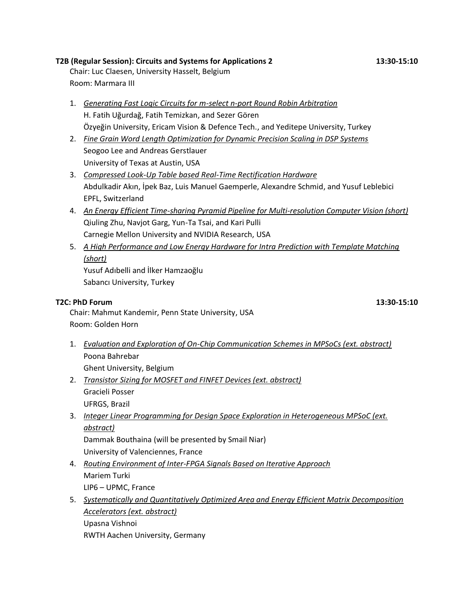#### **T2B (Regular Session): Circuits and Systems for Applications 2 13:30-15:10**

Chair: Luc Claesen, University Hasselt, Belgium Room: Marmara III

- 1. *Generating Fast Logic Circuits for m-select n-port Round Robin Arbitration* H. Fatih Uğurdağ, Fatih Temizkan, and Sezer Gören Özyeğin University, Ericam Vision & Defence Tech., and Yeditepe University, Turkey
- 2. *Fine Grain Word Length Optimization for Dynamic Precision Scaling in DSP Systems* Seogoo Lee and Andreas Gerstlauer University of Texas at Austin, USA
- 3. *Compressed Look-Up Table based Real-Time Rectification Hardware* Abdulkadir Akın, İpek Baz, Luis Manuel Gaemperle, Alexandre Schmid, and Yusuf Leblebici EPFL, Switzerland
- 4. *An Energy Efficient Time-sharing Pyramid Pipeline for Multi-resolution Computer Vision (short)* Qiuling Zhu, Navjot Garg, Yun-Ta Tsai, and Kari Pulli Carnegie Mellon University and NVIDIA Research, USA
- 5. *A High Performance and Low Energy Hardware for Intra Prediction with Template Matching (short)*

Yusuf Adıbelli and İlker Hamzaoğlu Sabancı University, Turkey

#### **T2C: PhD Forum 13:30-15:10**

Chair: Mahmut Kandemir, Penn State University, USA Room: Golden Horn

- 1. *Evaluation and Exploration of On-Chip Communication Schemes in MPSoCs (ext. abstract)* Poona Bahrebar Ghent University, Belgium
- 2. *Transistor Sizing for MOSFET and FINFET Devices (ext. abstract)* Gracieli Posser UFRGS, Brazil
- 3. *Integer Linear Programming for Design Space Exploration in Heterogeneous MPSoC (ext. abstract)*

Dammak Bouthaina (will be presented by Smail Niar) University of Valenciennes, France

- 4. *Routing Environment of Inter-FPGA Signals Based on Iterative Approach* Mariem Turki LIP6 – UPMC, France
- 5. *Systematically and Quantitatively Optimized Area and Energy Efficient Matrix Decomposition Accelerators (ext. abstract)*

Upasna Vishnoi RWTH Aachen University, Germany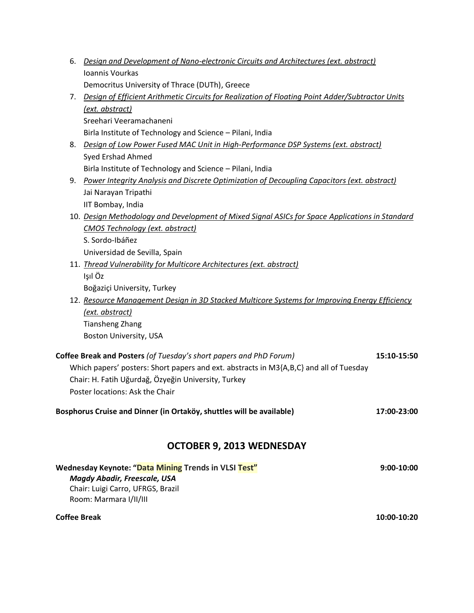| 6. | Design and Development of Nano-electronic Circuits and Architectures (ext. abstract)<br>Ioannis Vourkas                                   |             |
|----|-------------------------------------------------------------------------------------------------------------------------------------------|-------------|
|    | Democritus University of Thrace (DUTh), Greece                                                                                            |             |
|    |                                                                                                                                           |             |
| 7. | Design of Efficient Arithmetic Circuits for Realization of Floating Point Adder/Subtractor Units                                          |             |
|    | (ext. abstract)                                                                                                                           |             |
|    | Sreehari Veeramachaneni                                                                                                                   |             |
|    | Birla Institute of Technology and Science - Pilani, India                                                                                 |             |
| 8. | Design of Low Power Fused MAC Unit in High-Performance DSP Systems (ext. abstract)                                                        |             |
|    | Syed Ershad Ahmed                                                                                                                         |             |
|    | Birla Institute of Technology and Science - Pilani, India                                                                                 |             |
| 9. | Power Integrity Analysis and Discrete Optimization of Decoupling Capacitors (ext. abstract)                                               |             |
|    | Jai Narayan Tripathi                                                                                                                      |             |
|    | IIT Bombay, India                                                                                                                         |             |
|    | 10. Design Methodology and Development of Mixed Signal ASICs for Space Applications in Standard<br><b>CMOS Technology (ext. abstract)</b> |             |
|    | S. Sordo-Ibáñez                                                                                                                           |             |
|    |                                                                                                                                           |             |
|    | Universidad de Sevilla, Spain<br>11. Thread Vulnerability for Multicore Architectures (ext. abstract)                                     |             |
|    | Işıl Öz                                                                                                                                   |             |
|    | Boğaziçi University, Turkey                                                                                                               |             |
|    | 12. Resource Management Design in 3D Stacked Multicore Systems for Improving Energy Efficiency                                            |             |
|    | (ext. abstract)                                                                                                                           |             |
|    | <b>Tiansheng Zhang</b>                                                                                                                    |             |
|    | Boston University, USA                                                                                                                    |             |
|    |                                                                                                                                           |             |
|    | Coffee Break and Posters (of Tuesday's short papers and PhD Forum)                                                                        | 15:10-15:50 |
|    | Which papers' posters: Short papers and ext. abstracts in M3{A,B,C} and all of Tuesday                                                    |             |
|    | Chair: H. Fatih Uğurdağ, Özyeğin University, Turkey                                                                                       |             |
|    | Poster locations: Ask the Chair                                                                                                           |             |
|    | Bosphorus Cruise and Dinner (in Ortaköy, shuttles will be available)                                                                      | 17:00-23:00 |
|    | OCTOBER 9, 2013 WEDNESDAY                                                                                                                 |             |
|    |                                                                                                                                           |             |
|    | Wednesday Keynote: "Data Mining Trends in VLSI Test"<br><b>Magdy Abadir, Freescale, USA</b>                                               | 9:00-10:00  |

Chair: Luigi Carro, UFRGS, Brazil Room: Marmara I/II/III

#### **Coffee Break 10:00-10:20**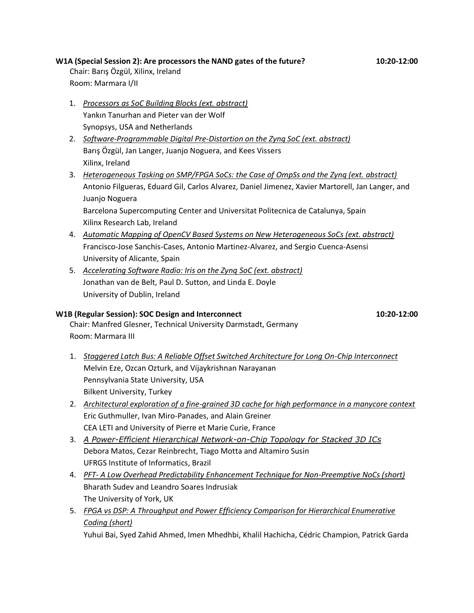#### **W1A (Special Session 2): Are processors the NAND gates of the future? 10:20-12:00**

Chair: Barış Özgül, Xilinx, Ireland Room: Marmara I/II

- 1. *Processors as SoC Building Blocks (ext. abstract)* Yankın Tanurhan and Pieter van der Wolf Synopsys, USA and Netherlands
- 2. *Software-Programmable Digital Pre-Distortion on the Zynq SoC (ext. abstract)* Barış Özgül, Jan Langer, Juanjo Noguera, and Kees Vissers Xilinx, Ireland
- 3. *Heterogeneous Tasking on SMP/FPGA SoCs: the Case of OmpSs and the Zynq (ext. abstract)* Antonio Filgueras, Eduard Gil, Carlos Alvarez, Daniel Jimenez, Xavier Martorell, Jan Langer, and Juanjo Noguera Barcelona Supercomputing Center and Universitat Politecnica de Catalunya, Spain

Xilinx Research Lab, Ireland

- 4. *Automatic Mapping of OpenCV Based Systems on New Heterogeneous SoCs (ext. abstract)* Francisco-Jose Sanchis-Cases, Antonio Martinez-Alvarez, and Sergio Cuenca-Asensi University of Alicante, Spain
- 5. *Accelerating Software Radio: Iris on the Zynq SoC (ext. abstract)* Jonathan van de Belt, Paul D. Sutton, and Linda E. Doyle University of Dublin, Ireland

#### **W1B (Regular Session): SOC Design and Interconnect 10:20-12:00**

Chair: Manfred Glesner, Technical University Darmstadt, Germany Room: Marmara III

- 1. *Staggered Latch Bus: A Reliable Offset Switched Architecture for Long On-Chip Interconnect* Melvin Eze, Ozcan Ozturk, and Vijaykrishnan Narayanan Pennsylvania State University, USA Bilkent University, Turkey
- 2. *Architectural exploration of a fine-grained 3D cache for high performance in a manycore context* Eric Guthmuller, Ivan Miro-Panades, and Alain Greiner CEA LETI and University of Pierre et Marie Curie, France
- 3. *[A Power-Efficient Hierarchical Network-on-Chip Topology for Stacked 3D ICs](https://www.easychair.org/conferences/submission_download.cgi?a=3722497;submission=1385503)* Debora Matos, Cezar Reinbrecht, Tiago Motta and Altamiro Susin UFRGS Institute of Informatics, Brazil
- 4. *PFT- A Low Overhead Predictability Enhancement Technique for Non-Preemptive NoCs (short)* Bharath Sudev and Leandro Soares Indrusiak The University of York, UK
- 5. *FPGA vs DSP: A Throughput and Power Efficiency Comparison for Hierarchical Enumerative Coding (short)*

Yuhui Bai, Syed Zahid Ahmed, Imen Mhedhbi, Khalil Hachicha, Cédric Champion, Patrick Garda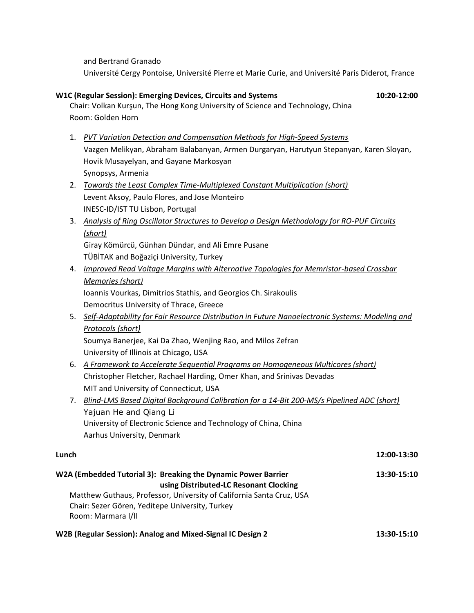and Bertrand Granado

Room: Golden Horn

Université Cergy Pontoise, Université Pierre et Marie Curie, and Université Paris Diderot, France

**W1C (Regular Session): Emerging Devices, Circuits and Systems 10:20 10:20-12:00** 

Chair: Volkan Kurşun, The Hong Kong University of Science and Technology, China

1. *PVT Variation Detection and Compensation Methods for High-Speed Systems*

### Vazgen Melikyan, Abraham Balabanyan, Armen Durgaryan, Harutyun Stepanyan, Karen Sloyan, Hovik Musayelyan, and Gayane Markosyan Synopsys, Armenia 2. *Towards the Least Complex Time-Multiplexed Constant Multiplication (short)* Levent Aksoy, Paulo Flores, and Jose Monteiro INESC-ID/IST TU Lisbon, Portugal 3. *Analysis of Ring Oscillator Structures to Develop a Design Methodology for RO-PUF Circuits (short)* Giray Kömürcü, Günhan Dündar, and Ali Emre Pusane TÜBİTAK and Boğaziçi University, Turkey 4. *Improved Read Voltage Margins with Alternative Topologies for Memristor-based Crossbar Memories (short)* Ioannis Vourkas, Dimitrios Stathis, and Georgios Ch. Sirakoulis Democritus University of Thrace, Greece 5. *Self-Adaptability for Fair Resource Distribution in Future Nanoelectronic Systems: Modeling and Protocols (short)* Soumya Banerjee, Kai Da Zhao, Wenjing Rao, and Milos Zefran University of Illinois at Chicago, USA 6. *A Framework to Accelerate Sequential Programs on Homogeneous Multicores (short)* Christopher Fletcher, Rachael Harding, Omer Khan, and Srinivas Devadas MIT and University of Connecticut, USA 7. *[Blind-LMS Based Digital Background Calibration for a 14-Bit 200-MS/s Pipelined ADC](https://www.easychair.org/conferences/submission_download.cgi?a=3722497;submission=1366523) (short)* Yajuan He and Qiang Li University of Electronic Science and Technology of China, China Aarhus University, Denmark **Lunch 12:00-13:30 W2A (Embedded Tutorial 3): Breaking the Dynamic Power Barrier 13:30-15:10 using Distributed-LC Resonant Clocking** Matthew Guthaus, Professor, University of California Santa Cruz, USA Chair: Sezer Gören, Yeditepe University, Turkey Room: Marmara I/II

**W2B (Regular Session): Analog and Mixed-Signal IC Design 2 13:30-15:10**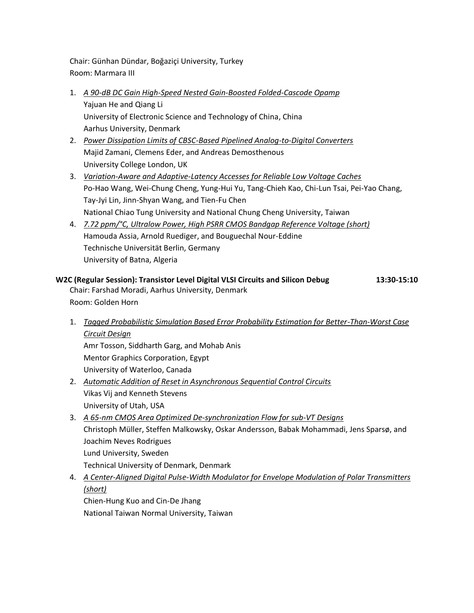Chair: Günhan Dündar, Boğaziçi University, Turkey Room: Marmara III

- 1. *A 90-dB DC Gain High-Speed Nested Gain-Boosted Folded-Cascode Opamp* Yajuan He and Qiang Li University of Electronic Science and Technology of China, China Aarhus University, Denmark
- 2. *Power Dissipation Limits of CBSC-Based Pipelined Analog-to-Digital Converters* Majid Zamani, Clemens Eder, and Andreas Demosthenous University College London, UK
- 3. *Variation-Aware and Adaptive-Latency Accesses for Reliable Low Voltage Caches* Po-Hao Wang, Wei-Chung Cheng, Yung-Hui Yu, Tang-Chieh Kao, Chi-Lun Tsai, Pei-Yao Chang, Tay-Jyi Lin, Jinn-Shyan Wang, and Tien-Fu Chen National Chiao Tung University and National Chung Cheng University, Taiwan
- 4. *7.72 ppm/°C, Ultralow Power, High PSRR CMOS Bandgap Reference Voltage (short)* Hamouda Assia, Arnold Ruediger, and Bouguechal Nour-Eddine Technische Universität Berlin, Germany University of Batna, Algeria

**W2C (Regular Session): Transistor Level Digital VLSI Circuits and Silicon Debug 13:30-15:10** Chair: Farshad Moradi, Aarhus University, Denmark Room: Golden Horn

1. *Tagged Probabilistic Simulation Based Error Probability Estimation for Better-Than-Worst Case Circuit Design* Amr Tosson, Siddharth Garg, and Mohab Anis Mentor Graphics Corporation, Egypt

University of Waterloo, Canada

- 2. *Automatic Addition of Reset in Asynchronous Sequential Control Circuits* Vikas Vij and Kenneth Stevens University of Utah, USA
- 3. *A 65-nm CMOS Area Optimized De-synchronization Flow for sub-VT Designs* Christoph Müller, Steffen Malkowsky, Oskar Andersson, Babak Mohammadi, Jens Sparsø, and Joachim Neves Rodrigues Lund University, Sweden Technical University of Denmark, Denmark
- 4. *A Center-Aligned Digital Pulse-Width Modulator for Envelope Modulation of Polar Transmitters (short)* Chien-Hung Kuo and Cin-De Jhang

National Taiwan Normal University, Taiwan